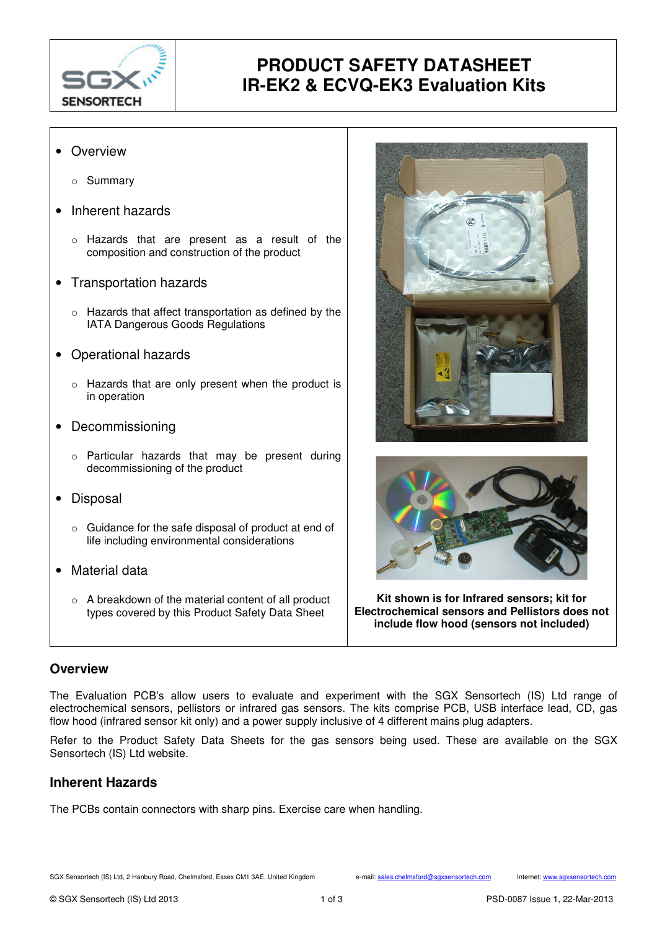

# **PRODUCT SAFETY DATASHEET IR-EK2 & ECVQ-EK3 Evaluation Kits**

### • Overview

- o Summary
- Inherent hazards
	- o Hazards that are present as a result of the composition and construction of the product
- Transportation hazards
	- o Hazards that affect transportation as defined by the IATA Dangerous Goods Regulations
- Operational hazards
	- o Hazards that are only present when the product is in operation
- Decommissioning
	- o Particular hazards that may be present during decommissioning of the product
- Disposal
	- o Guidance for the safe disposal of product at end of life including environmental considerations
- Material data
	- o A breakdown of the material content of all product types covered by this Product Safety Data Sheet





**Kit shown is for Infrared sensors; kit for Electrochemical sensors and Pellistors does not include flow hood (sensors not included)** 

#### **Overview**

The Evaluation PCB's allow users to evaluate and experiment with the SGX Sensortech (IS) Ltd range of electrochemical sensors, pellistors or infrared gas sensors. The kits comprise PCB, USB interface lead, CD, gas flow hood (infrared sensor kit only) and a power supply inclusive of 4 different mains plug adapters.

Refer to the Product Safety Data Sheets for the gas sensors being used. These are available on the SGX Sensortech (IS) Ltd website.

### **Inherent Hazards**

The PCBs contain connectors with sharp pins. Exercise care when handling.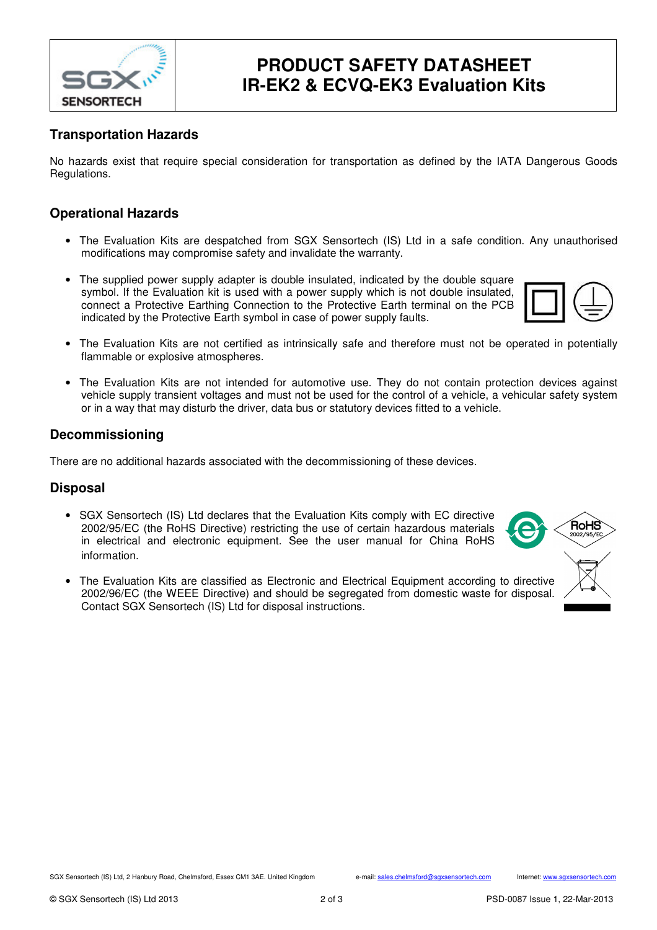

# **PRODUCT SAFETY DATASHEET IR-EK2 & ECVQ-EK3 Evaluation Kits**

# **Transportation Hazards**

No hazards exist that require special consideration for transportation as defined by the IATA Dangerous Goods Regulations.

### **Operational Hazards**

- The Evaluation Kits are despatched from SGX Sensortech (IS) Ltd in a safe condition. Any unauthorised modifications may compromise safety and invalidate the warranty.
- The supplied power supply adapter is double insulated, indicated by the double square symbol. If the Evaluation kit is used with a power supply which is not double insulated, connect a Protective Earthing Connection to the Protective Earth terminal on the PCB indicated by the Protective Earth symbol in case of power supply faults.
- The Evaluation Kits are not certified as intrinsically safe and therefore must not be operated in potentially flammable or explosive atmospheres.
- The Evaluation Kits are not intended for automotive use. They do not contain protection devices against vehicle supply transient voltages and must not be used for the control of a vehicle, a vehicular safety system or in a way that may disturb the driver, data bus or statutory devices fitted to a vehicle.

### **Decommissioning**

There are no additional hazards associated with the decommissioning of these devices.

### **Disposal**

- SGX Sensortech (IS) Ltd declares that the Evaluation Kits comply with EC directive 2002/95/EC (the RoHS Directive) restricting the use of certain hazardous materials in electrical and electronic equipment. See the user manual for China RoHS information.
- The Evaluation Kits are classified as Electronic and Electrical Equipment according to directive 2002/96/EC (the WEEE Directive) and should be segregated from domestic waste for disposal. Contact SGX Sensortech (IS) Ltd for disposal instructions.

SGX Sensortech (IS) Ltd, 2 Hanbury Road, Chelmsford, Essex CM1 3AE. United Kingdom e-mail: sales.chelmsford@sgxsensortech.com Internet: www.sgxsensortech.com